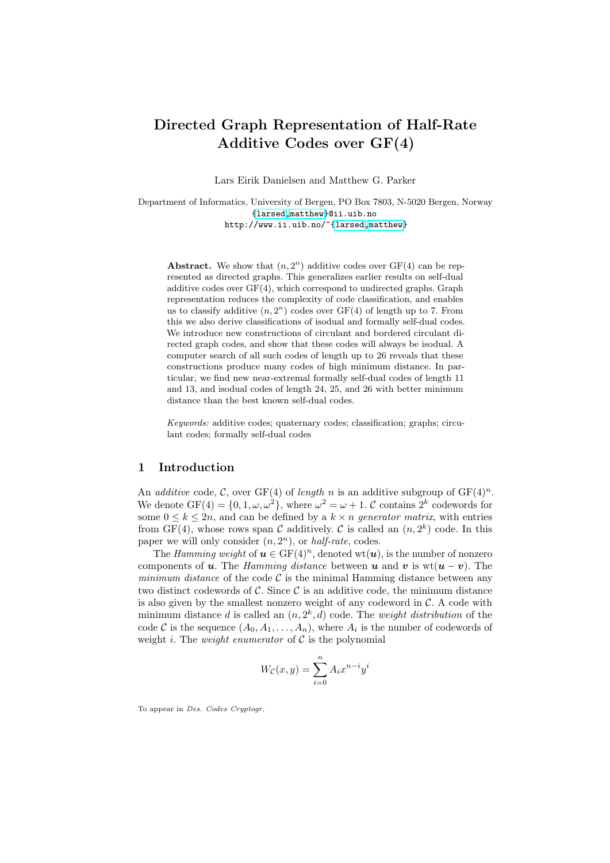# Directed Graph Representation of Half-Rate [Ad](mailto:matthew@ii.uib.no)ditive Codes over GF(4)

Lars Eirik Danielsen and Matthew G. Parker

Department of Informatics, University of Bergen, PO Box 7803, N-5020 Bergen, Norway {larsed,matthew}@ii.uib.no http://www.ii.uib.no/~{larsed,matthew}

Abstract. We show that  $(n, 2<sup>n</sup>)$  additive codes over GF(4) can be represented as directed graphs. This generalizes earlier results on self-dual additive codes over GF(4), which correspond to undirected graphs. Graph representation reduces the complexity of code classification, and enables us to classify additive  $(n, 2<sup>n</sup>)$  codes over GF(4) of length up to 7. From this we also derive classifications of isodual and formally self-dual codes. We introduce new constructions of circulant and bordered circulant directed graph codes, and show that these codes will always be isodual. A computer search of all such codes of length up to 26 reveals that these constructions produce many codes of high minimum distance. In particular, we find new near-extremal formally self-dual codes of length 11 and 13, and isodual codes of length 24, 25, and 26 with better minimum distance than the best known self-dual codes.

Keywords: additive codes; quaternary codes; classification; graphs; circulant codes; formally self-dual codes

#### 1 Introduction

An *additive* code, C, over GF(4) of *length* n is an additive subgroup of  $GF(4)^n$ . We denote  $GF(4) = \{0, 1, \omega, \omega^2\}$ , where  $\omega^2 = \omega + 1$ . C contains  $2^k$  codewords for some  $0 \leq k \leq 2n$ , and can be defined by a  $k \times n$  generator matrix, with entries from GF(4), whose rows span  $\mathcal C$  additively.  $\mathcal C$  is called an  $(n, 2^k)$  code. In this paper we will only consider  $(n, 2<sup>n</sup>)$ , or *half-rate*, codes.

The Hamming weight of  $u \in GF(4)^n$ , denoted wt(*u*), is the number of nonzero components of u. The Hamming distance between u and v is  $wt(u - v)$ . The minimum distance of the code  $\mathcal C$  is the minimal Hamming distance between any two distinct codewords of  $\mathcal{C}$ . Since  $\mathcal{C}$  is an additive code, the minimum distance is also given by the smallest nonzero weight of any codeword in  $\mathcal{C}$ . A code with minimum distance d is called an  $(n, 2<sup>k</sup>, d)$  code. The *weight distribution* of the code C is the sequence  $(A_0, A_1, \ldots, A_n)$ , where  $A_i$  is the number of codewords of weight i. The *weight enumerator* of  $C$  is the polynomial

$$
W_{\mathcal{C}}(x,y) = \sum_{i=0}^{n} A_i x^{n-i} y^i
$$

To appear in Des. Codes Cryptogr.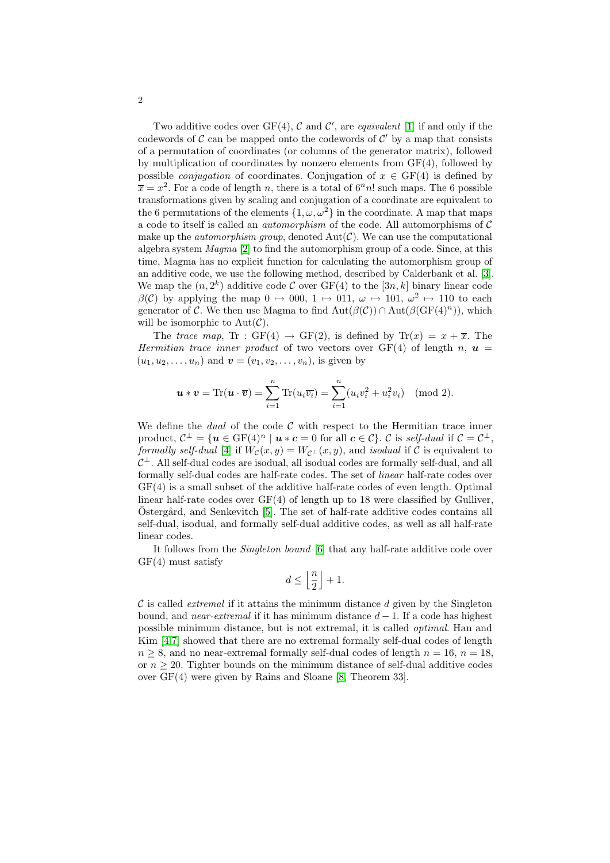Two additive codes over  $GF(4)$ , C and C', are *equivalent* [1] if and only if the codewords of  $\mathcal C$  can be mapped onto the codewords of  $\mathcal C'$  by a map that consists of a permutation of coordinates (or columns of the generator matrix), followed by multiplication of coordinates by nonzero elements from  $GF(4)$ , followed by possible *conjugation* of coordinates. Conjugation of  $x \in \text{GF}(4)$  is defined by  $\bar{x} = x^2$  $\bar{x} = x^2$  $\bar{x} = x^2$ . For a code of length n, there is a total of  $6<sup>n</sup>n!$  such maps. The 6 possible transformations given by scaling and conjugation of a coordinate are equivalent to the 6 permutations of the elements  $\{1, \omega, \omega^2\}$  in the coor[din](#page-12-1)ate. A map that maps a code to itself is called an automorphism of the code. All automorphisms of C make up the *automorphism group*, denoted  $Aut(\mathcal{C})$ . We can use the computational algebra system Magma [2] to find the automorphism group of a code. Since, at this time, Magma has no explicit function for calculating the automorphism group of an additive code, we use the following method, described by Calderbank et al. [3]. We map the  $(n, 2^k)$  additive code C over GF(4) to the [3n, k] binary linear code  $\beta(\mathcal{C})$  by applying the map  $0 \mapsto 000, 1 \mapsto 011, \omega \mapsto 101, \omega^2 \mapsto 110$  to each generator of C. We then use Magma to find  $Aut(\beta(\mathcal{C})) \cap Aut(\beta(\mathrm{GF}(4)^n))$ , which will be isomorphic to  $Aut(\mathcal{C})$ .

The trace map, Tr : GF(4)  $\rightarrow$  GF(2), is defined by Tr(x) =  $x + \overline{x}$ . The Hermitian trace inner product of two vectors over  $GF(4)$  of length n,  $u =$  $(u_1, u_2, \ldots, u_n)$  and  $\mathbf{v} = (v_1, v_2, \ldots, v_n)$ , is given by

$$
\mathbf{u} * \mathbf{v} = \text{Tr}(\mathbf{u} \cdot \overline{\mathbf{v}}) = \sum_{i=1}^{n} \text{Tr}(u_i \overline{v_i}) = \sum_{i=1}^{n} (u_i v_i^2 + u_i^2 v_i) \pmod{2}.
$$

We define the *dual* of the code  $C$  with respect to the Hermitian trace inner product,  $\mathcal{C}^{\perp} = \{ \boldsymbol{u} \in \mathrm{GF}(4)^n \mid \boldsymbol{u} * \boldsymbol{c} = 0 \text{ for all } \boldsymbol{c} \in \mathcal{C} \}.$   $\mathcal{C}$  is self-dual if  $\mathcal{C} = \mathcal{C}^{\perp}$ , formal[ly](#page-12-2) self-dual [4] if  $W_{\mathcal{C}}(x, y) = W_{\mathcal{C}^{\perp}}(x, y)$ , and isodual if C is equivalent to  $C^{\perp}$ . All self-dual codes are isodual, all isodual codes are formally self-dual, and all formally self-dual codes are half-rate codes. The set of linear half-rate codes over GF(4) is a small s[ub](#page-12-3)set of the additive half-rate codes of even length. Optimal linear half-rate codes over  $GF(4)$  of length up to 18 were classified by Gulliver, Östergård, and Senkevitch [5]. The set of half-rate additive codes contains all self-dual, isodual, and formally self-dual additive codes, as well as all half-rate linear codes.

It follows from the Singleton bound [6] that any half-rate additive code over GF(4) must satisfy

$$
d\leq \left\lfloor \frac{n}{2}\right\rfloor+1.
$$

 $\mathcal C$  is called *extremal* if it attains the minimum distance d given by the Singleton bound, and *near-extrem[al](#page-13-0)* if it has minimum distance  $d - 1$ . If a code has highest possible minimum distance, but is not extremal, it is called optimal. Han and Kim [4,7] showed that there are no extremal formally self-dual codes of length  $n \geq 8$ , and no near-extremal formally self-dual codes of length  $n = 16$ ,  $n = 18$ , or  $n \geq 20$ . Tighter bounds on the minimum distance of self-dual additive codes over GF(4) were given by Rains and Sloane [8, Theorem 33].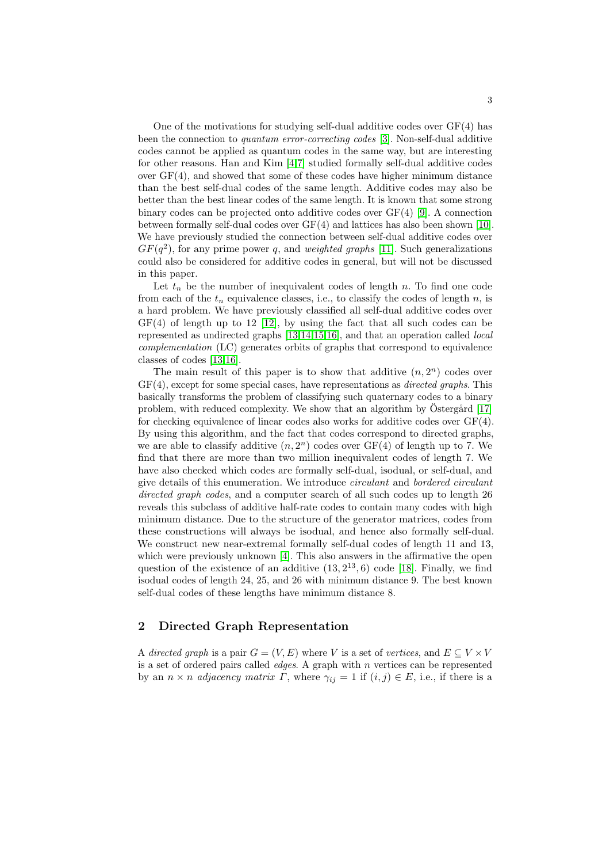One of the motivations for studying self-dual additive codes over GF(4) has been the connection to *quantum error-correcting codes* [3]. Non-self-dual additive codes cannot be applied as quantum code[s i](#page-13-1)n the same way, but are interesting for other reasons. Han and Kim [4,7] studied formally [sel](#page-13-2)f-dual additive codes over  $GF(4)$ , and showed that some of these codes have higher minimum distance than the best self-dual codes of [the](#page-13-3) same length. Additive codes may also be better than the best linear codes of the same length. It is known that some strong binary codes can be projected onto additive codes over GF(4) [9]. A connection between formally self-dual codes over GF(4) and lattices has also been shown [10]. We have previously studied the connection between self-dual additive codes over  $GF(q^2)$ , for any prime power q, and weighted graphs [11]. Such generalizations could [also](#page-13-4) be c[ons](#page-13-6)[ide](#page-13-7)[red](#page-13-8) for additive codes in general, but will not be discussed in this pape[r.](#page-13-5)

Let  $t_n$  be the number of inequivalent codes of length n. To find one code [fr](#page-13-8)om each of the  $t_n$  equivalence classes, i.e., to classify the codes of length n, is a hard problem. We have previously classified all self-dual additive codes over  $GF(4)$  of length up to 12 [12], by using the fact that all such codes can be represented as undirected graphs [13,14,15,16], and that an operation called local complementation (LC) generates orbits of graphs that c[orre](#page-13-9)spond to equivalence classes of codes [13,16].

The main result of this paper is to show that additive  $(n, 2<sup>n</sup>)$  codes over  $GF(4)$ , except for some special cases, have representations as *directed graphs*. This basically transforms the problem of classifying such quaternary codes to a binary problem, with reduced complexity. We show that an algorithm by Östergård  $[17]$ for checking equivalence of linear codes also works for additive codes over  $GF(4)$ . By using this algorithm, and the fact that codes correspond to directed graphs, we are able to classify additive  $(n, 2<sup>n</sup>)$  codes over  $GF(4)$  of length up to 7. We find that there are more than two million inequivalent codes of length 7. We have also checked which codes are formally self-dual, isodual, or self-dual, and give details of this enumeration. We introduce circulant and bordered circulant directed gr[ap](#page-12-4)h codes, and a computer search of all such codes up to length 26 reveals this subclass of additive half-r[ate](#page-13-10) codes to contain many codes with high minimum distance. Due to the structure of the generator matrices, codes from these constructions will always be isodual, and hence also formally self-dual. We construct new near-extremal formally self-dual codes of length 11 and 13, which were previously unknown [4]. This also answers in the affirmative the open question of the existence of an additive  $(13, 2^{13}, 6)$  code [18]. Finally, we find isodual codes of length 24, 25, and 26 with minimum distance 9. The best known self-dual codes of these lengths have minimum distance 8.

# 2 Directed Graph Representation

A directed graph is a pair  $G = (V, E)$  where V is a set of vertices, and  $E \subseteq V \times V$ is a set of ordered pairs called *edges*. A graph with  $n$  vertices can be represented by an  $n \times n$  adjacency matrix  $\Gamma$ , where  $\gamma_{ij} = 1$  if  $(i, j) \in E$ , i.e., if there is a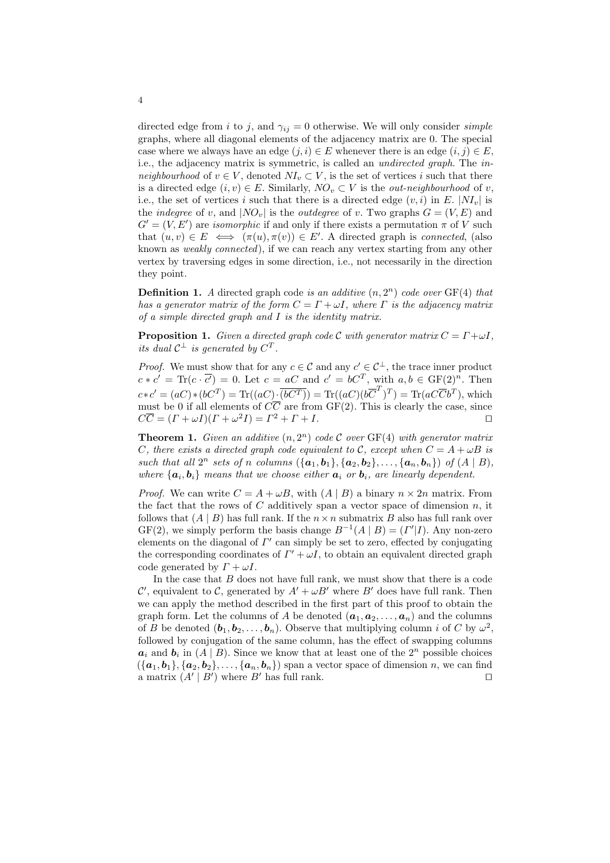directed edge from i to j, and  $\gamma_{ij} = 0$  otherwise. We will only consider *simple* graphs, where all diagonal elements of the adjacency matrix are 0. The special case where we always have an edge  $(j, i) \in E$  whenever there is an edge  $(i, j) \in E$ , i.e., the adjacency matrix is symmetric, is called an undirected graph. The inneighbourhood of  $v \in V$ , denoted  $NI_v \subset V$ , is the set of vertices i such that there is a directed edge  $(i, v) \in E$ . Similarly,  $NO_v \subset V$  is the *out-neighbourhood* of v, i.e., the set of vertices i such that there is a directed edge  $(v, i)$  in E.  $|NI_v|$  is the *indegree* of v, and  $|NO_v|$  is the *outdegree* of v. Two graphs  $G = (V, E)$  and  $G' = (V, E')$  are *isomorphic* if and only if there exists a permutation  $\pi$  of V such that  $(u, v) \in E \iff (\pi(u), \pi(v)) \in E'$ . A directed graph is *connected*, (also known as *weakly connected*), if we can reach any vertex starting from any other vertex by traversing edges in some direction, i.e., not necessarily in the direction they point.

**Definition 1.** A directed graph code is an additive  $(n, 2<sup>n</sup>)$  code over  $GF(4)$  that has a generator matrix of the form  $C = \Gamma + \omega I$ , where  $\Gamma$  is the adjacency matrix of a simple directed graph and I is the identity matrix.

**Proposition 1.** Given a directed graph code C with generator matrix  $C = \Gamma + \omega I$ , its dual  $C^{\perp}$  is generated by  $C^{T}$ .

*Proof.* We must show that for any  $c \in \mathcal{C}$  and any  $c' \in \mathcal{C}^{\perp}$ , the trace inner product  $c * c' = \text{Tr}(c \cdot \overline{c'}) = 0.$  Let  $c = aC$  and  $c' = bC^T$ , with  $a, b \in \text{GF}(2)^n$ . Then  $c*c' = (aC)*(bC^T) = \text{Tr}((aC)\cdot \overline{(bC^T)}) = \text{Tr}((aC)(b\overline{C}^T)^T) = \text{Tr}(aC\overline{C}b^T)$ , which must be 0 if all elements of  $C\overline{C}$  are from GF(2). This is clearly the case, since  $C\overline{C} = (\Gamma + \omega I)(\Gamma + \omega^2 I) = \Gamma^2 + \Gamma + I.$ 

<span id="page-3-0"></span>**Theorem 1.** Given an additive  $(n, 2^n)$  code C over  $GF(4)$  with generator matrix C, there exists a directed graph code equivalent to C, except when  $C = A + \omega B$  is such that all  $2^n$  sets of n columns  $({a_1,b_1}, {a_2,b_2}, \ldots, {a_n,b_n})$  of  $(A | B)$ , where  $\{a_i, b_i\}$  means that we choose either  $a_i$  or  $b_i$ , are linearly dependent.

*Proof.* We can write  $C = A + \omega B$ , with  $(A | B)$  a binary  $n \times 2n$  matrix. From the fact that the rows of  $C$  additively span a vector space of dimension  $n$ , it follows that  $(A | B)$  has full rank. If the  $n \times n$  submatrix B also has full rank over  $GF(2)$ , we simply perform the basis change  $B^{-1}(A | B) = (I'|I)$ . Any non-zero elements on the diagonal of  $\Gamma'$  can simply be set to zero, effected by conjugating the corresponding coordinates of  $\Gamma' + \omega I$ , to obtain an equivalent directed graph code generated by  $\Gamma + \omega I$ .

In the case that  $B$  does not have full rank, we must show that there is a code C', equivalent to C, generated by  $A' + \omega B'$  where B' does have full rank. Then we can apply the method described in the first part of this proof to obtain the graph form. Let the columns of A be denoted  $(a_1, a_2, \ldots, a_n)$  and the columns of B be denoted  $(\boldsymbol{b}_1, \boldsymbol{b}_2, \dots, \boldsymbol{b}_n)$ . Observe that multiplying column i of C by  $\omega^2$ , followed by conjugation of the same column, has the effect of swapping columns  $a_i$  and  $b_i$  in  $(A | B)$ . Since we know that at least one of the  $2^n$  possible choices  $({a_1,b_1}, {a_2,b_2}, \ldots, {a_n,b_n})$  span a vector space of dimension n, we can find a matrix  $(A' | B')$  where  $B'$  has full rank.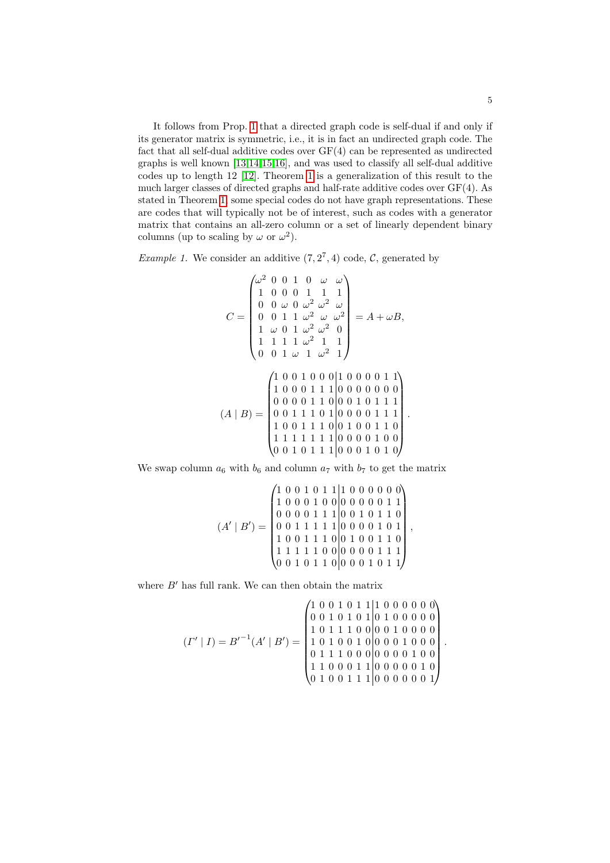It follows from Prop. 1 that a directed graph code is self-dual if and only if its generator matrix is symmetric, i.e., it is in fact an undirected graph code. The fact that all self-dual additive codes over GF(4) can be represented as undirected graphs is well known [13,14,15,16], and was used to classify all self-dual additive codes up to length 12 [12]. Theorem 1 is a generalization of this result to the much larger classes of directed graphs and half-rate additive codes over GF(4). As stated in Theorem 1, some special codes do not have graph representations. These are codes that will typically not be of interest, such as codes with a generator matrix that contains an all-zero column or a set of linearly dependent binary columns (up to scaling by  $\omega$  or  $\omega^2$ ).

*Example 1.* We consider an additive  $(7, 2^7, 4)$  code, C, generated by

$$
C = \begin{pmatrix} \omega^2 & 0 & 0 & 1 & 0 & \omega & \omega \\ 1 & 0 & 0 & 0 & 1 & 1 & 1 \\ 0 & 0 & \omega & 0 & \omega^2 & \omega^2 & \omega \\ 0 & 0 & 1 & 1 & \omega^2 & \omega & \omega^2 \\ 1 & \omega & 0 & 1 & \omega^2 & \omega^2 & 0 \\ 1 & 1 & 1 & 1 & \omega^2 & 1 & 1 \\ 0 & 0 & 1 & \omega & 1 & \omega^2 & 1 \end{pmatrix} = A + \omega B,
$$
  

$$
(A \mid B) = \begin{pmatrix} 1 & 0 & 0 & 1 & 0 & 0 & 0 & 0 & 1 & 1 \\ 1 & 0 & 0 & 1 & 0 & 1 & 0 & 0 & 0 & 0 & 1 \\ 0 & 0 & 0 & 1 & 1 & 1 & 0 & 0 & 0 & 0 & 0 & 0 \\ 0 & 0 & 1 & 1 & 1 & 0 & 1 & 0 & 0 & 0 & 1 & 1 \\ 1 & 0 & 0 & 1 & 1 & 1 & 0 & 0 & 0 & 0 & 1 & 1 \\ 1 & 1 & 1 & 1 & 1 & 1 & 1 & 0 & 0 & 0 & 0 & 1 & 0 \\ 0 & 0 & 1 & 0 & 1 & 1 & 1 & 0 & 0 & 0 & 0 & 1 & 0 \\ 0 & 0 & 1 & 0 & 1 & 1 & 1 & 0 & 0 & 0 & 0 & 1 & 0 \end{pmatrix}
$$

.

.

We swap column  $a_6$  with  $b_6$  and column  $a_7$  with  $b_7$  to get the matrix

$$
(A' | B') = \begin{pmatrix} 1 & 0 & 0 & 1 & 0 & 1 & 1 & 1 & 0 & 0 & 0 & 0 & 0 & 0 \\ 1 & 0 & 0 & 0 & 1 & 0 & 0 & 0 & 0 & 0 & 0 & 1 & 1 \\ 0 & 0 & 0 & 0 & 1 & 1 & 1 & 0 & 0 & 1 & 0 & 1 & 1 \\ 0 & 0 & 1 & 1 & 1 & 1 & 1 & 0 & 0 & 0 & 1 & 0 & 1 \\ 1 & 0 & 0 & 1 & 1 & 1 & 0 & 0 & 0 & 0 & 1 & 1 & 1 \\ 1 & 1 & 1 & 1 & 1 & 0 & 0 & 0 & 0 & 0 & 1 & 1 & 1 \\ 0 & 0 & 1 & 0 & 1 & 1 & 0 & 0 & 0 & 0 & 1 & 0 & 1 \end{pmatrix},
$$

where  $B'$  has full rank. We can then obtain the matrix

$$
(I' \mid I) = B'^{-1}(A' \mid B') = \begin{pmatrix} 1 & 0 & 0 & 1 & 0 & 1 & 1 & 1 & 0 & 0 & 0 & 0 & 0 & 0 \\ 0 & 0 & 1 & 0 & 1 & 0 & 1 & 0 & 1 & 0 & 0 & 0 & 0 & 0 \\ 1 & 0 & 1 & 1 & 1 & 0 & 0 & 0 & 0 & 0 & 0 & 0 \\ 1 & 0 & 1 & 0 & 0 & 0 & 1 & 0 & 0 & 0 & 0 & 0 \\ 0 & 1 & 1 & 1 & 0 & 0 & 0 & 0 & 0 & 1 & 0 & 0 \\ 1 & 0 & 0 & 0 & 1 & 1 & 0 & 0 & 0 & 0 & 0 & 1 & 0 \\ 0 & 1 & 0 & 0 & 1 & 1 & 1 & 0 & 0 & 0 & 0 & 0 & 1 \end{pmatrix}
$$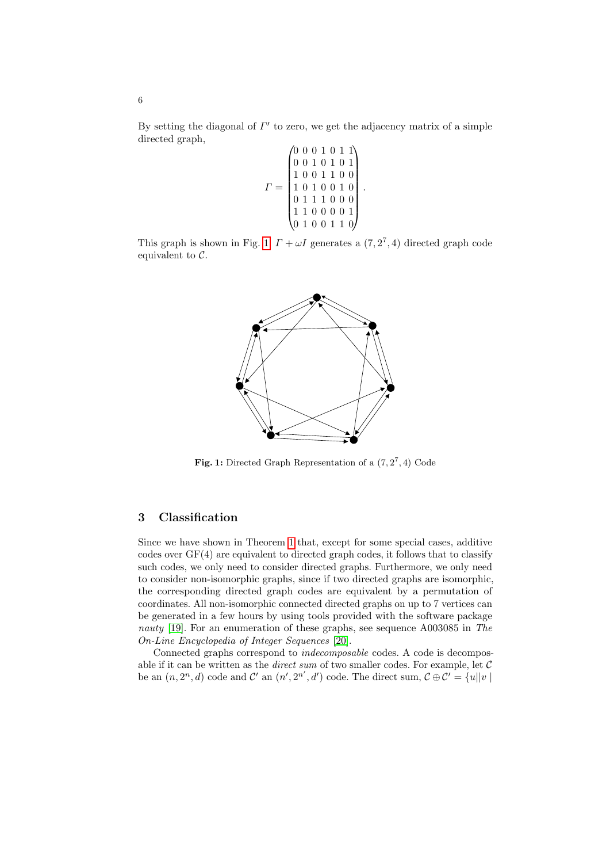By setting the diagonal of  $\Gamma'$  to zero, we get the adjacency matrix of a simple directed graph,

$$
\Gamma = \begin{pmatrix} 0 & 0 & 0 & 1 & 0 & 1 & 1 \\ 0 & 0 & 1 & 0 & 1 & 0 & 1 \\ 1 & 0 & 0 & 1 & 1 & 0 & 0 \\ 1 & 0 & 1 & 0 & 0 & 1 & 0 \\ 0 & 1 & 1 & 1 & 0 & 0 & 0 \\ 1 & 1 & 0 & 0 & 0 & 0 & 1 \\ 0 & 1 & 0 & 0 & 0 & 1 & 1 & 0 \end{pmatrix}.
$$

This graph is shown in Fig. 1.  $\Gamma + \omega I$  generates a  $(7, 2^7, 4)$  directed graph code equivalent to  $\mathcal{C}$ .



Fig. 1: Directed Graph Representation of a  $(7,2^7,4)$  Code

# 3 Classification

Since we have shown in Theorem 1 that, except for some special cases, additive codes over GF(4) are equivalent to directed graph codes, it follows that to classify such codes, we only need to consider directed graphs. Furthermore, we only need to consider non-isomor[phi](#page-13-11)c graphs, since if two directed graphs are isomorphic, the corresponding directed graph codes are equivalent by a permutation of coordinates. All non-isomorphic connected directed graphs on up to 7 vertices can be generated in a few hours by using tools provided with the software package nauty [19]. For an enumeration of these graphs, see sequence A003085 in The On-Line Encyclopedia of Integer Sequences [20].

Connected graphs correspond to indecomposable codes. A code is decomposable if it can be written as the *direct sum* of two smaller codes. For example, let  $C$ be an  $(n, 2<sup>n</sup>, d)$  code and  $\mathcal{C}'$  an  $(n', 2^{n'}, d')$  code. The direct sum,  $\mathcal{C} \oplus \mathcal{C}' = \{u | |v|$ 

6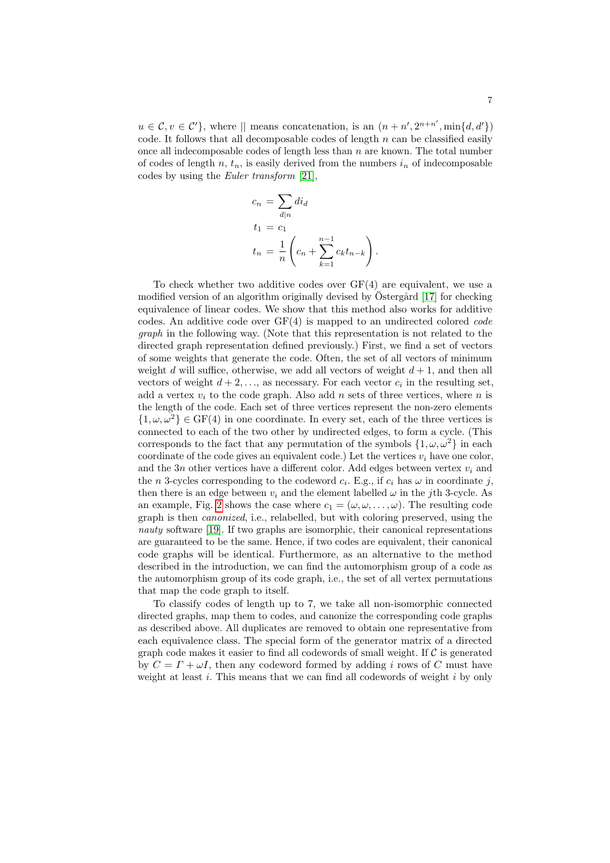$u \in \mathcal{C}, v \in \mathcal{C}'$ , where  $||$  means concatenation, is an  $(n + n', 2^{n+n'}, \min\{d, d'\})$ code. It follows that all decomposable codes of length  $n$  can be classified easily once all indecomposable codes of length less than  $n$  are known. The total number of codes of length n,  $t_n$ , is easily derived from the numbers  $i_n$  of indecomposable codes by using the Euler transform [21],

$$
c_n = \sum_{d|n} di_d
$$
  
\n
$$
t_1 = c_1
$$
  
\n
$$
t_n = \frac{1}{n} \left( c_n + \sum_{k=1}^{n-1} c_k t_{n-k} \right).
$$

To check whether two additive codes over GF(4) are equivalent, we use a modified version of an algorithm originally devised by Östergård  $[17]$  for checking equivalence of linear codes. We show that this method also works for additive codes. An additive code over  $GF(4)$  is mapped to an undirected colored *code* graph in the following way. (Note that this representation is not related to the directed graph representation defined previously.) First, we find a set of vectors of some weights that generate the code. Often, the set of all vectors of minimum weight d will suffice, otherwise, we add all vectors of weight  $d+1$ , and then all vectors of weight  $d+2,\ldots$ , as necessary. For each vector  $c_i$  in the resulting set, add a vertex  $v_i$  to the code graph. Also add n sets of three vertices, where n is the length of the code. Each set of three vertices represent the non-zero elements  ${1, \omega, \omega^2} \in \text{GF}(4)$  in one coordinate. In every set, each of the three vertices is connected to each of the two other by undirected edges, to form a cycle. (This corresponds to the fact that any permutation of the symbols  $\{1, \omega, \omega^2\}$  in each coordinate of the code gives an equivalent code.) Let the vertices  $v_i$  have one color, and the 3n other vertices have a different color. Add edges between vertex  $v_i$  and the *n* 3-cycles corresponding to the codeword  $c_i$ . E.g., if  $c_i$  has  $\omega$  in coordinate j, then there is an edge between  $v_i$  and the element labelled  $\omega$  in the j<sup>th</sup> 3-cycle. As an example, Fig. 2 shows the case where  $c_1 = (\omega, \omega, \dots, \omega)$ . The resulting code graph is then canonized, i.e., relabelled, but with coloring preserved, using the nauty software [19]. If two graphs are isomorphic, their canonical representations are guaranteed to be the same. Hence, if two codes are equivalent, their canonical code graphs will be identical. Furthermore, as an alternative to the method described in the introduction, we can find the automorphism group of a code as the automorphism group of its code graph, i.e., the set of all vertex permutations that map the code graph to itself.

To classify codes of length up to 7, we take all non-isomorphic connected directed graphs, map them to codes, and canonize the corresponding code graphs as described above. All duplicates are removed to obtain one representative from each equivalence class. The special form of the generator matrix of a directed graph code makes it easier to find all codewords of small weight. If  $\mathcal C$  is generated by  $C = \Gamma + \omega I$ , then any codeword formed by adding i rows of C must have weight at least  $i$ . This means that we can find all codewords of weight  $i$  by only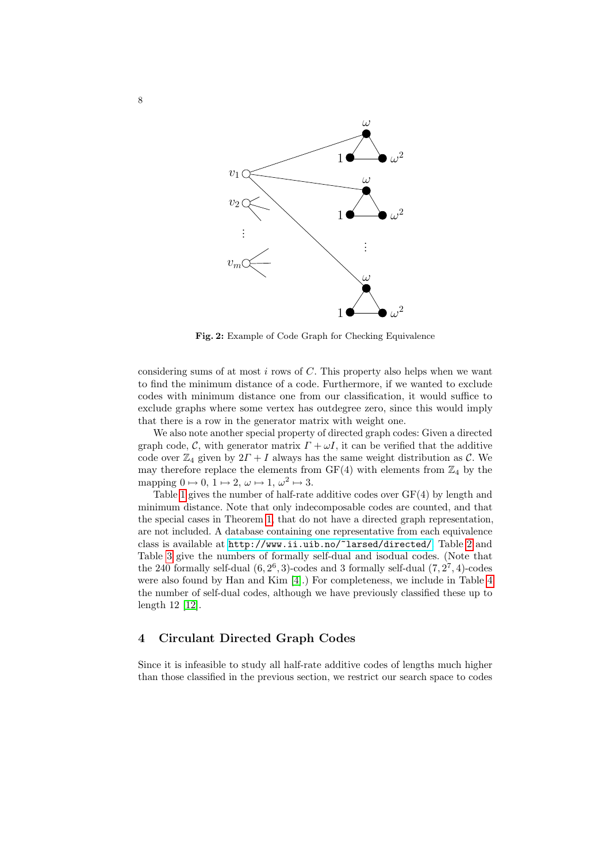

Fig. 2: Example of Code Graph for Checking Equivalence

considering sums of at most  $i$  rows of  $C$ . This property also helps when we want to find the minimum distance of a code. Furthermore, if we wanted to exclude codes with minimum distance one from our classification, it would suffice to exclude graphs where some vertex has outdegree zero, since this would imply that there is a row in the generator matrix with weight one.

We also note another special property of directed graph codes: Given a directed graph code, C, with generator matrix  $\Gamma + \omega I$ , it can be verified that the additive code o[ver](#page-3-0)  $\mathbb{Z}_4$  given by  $2\Gamma + I$  always has the same weight distribution as C. We [may therefore replace the elements from](http://www.ii.uib.no/~larsed/directed/)  $GF(4)$  wit[h](#page-8-0) elements from  $\mathbb{Z}_4$  by the mapping  $0 \mapsto 0, 1 \mapsto 2, \omega \mapsto 1, \omega^2 \mapsto 3.$ 

Table 1 gives the number of half-rate additive codes over GF(4) by length and minimum distance. Note that only indecomposable codes are counted, and that the special ca[ses](#page-12-4) in Theorem 1, that do not have a directe[d](#page-8-1) graph representation, are not included. A database containing one representative from each equivalence class is available at http://www.ii.uib.no/~larsed/directed/. Table 2 and Table 3 give the numbers of formally self-dual and isodual codes. (Note that the 240 formally self-dual  $(6, 2^6, 3)$ -codes and 3 formally self-dual  $(7, 2^7, 4)$ -codes were also found by Han and Kim [4].) For completeness, we include in Table 4 the number of self-dual codes, although we have previously classified these up to length 12 [12].

#### 4 Circulant Directed Graph Codes

Since it is infeasible to study all half-rate additive codes of lengths much higher than those classified in the previous section, we restrict our search space to codes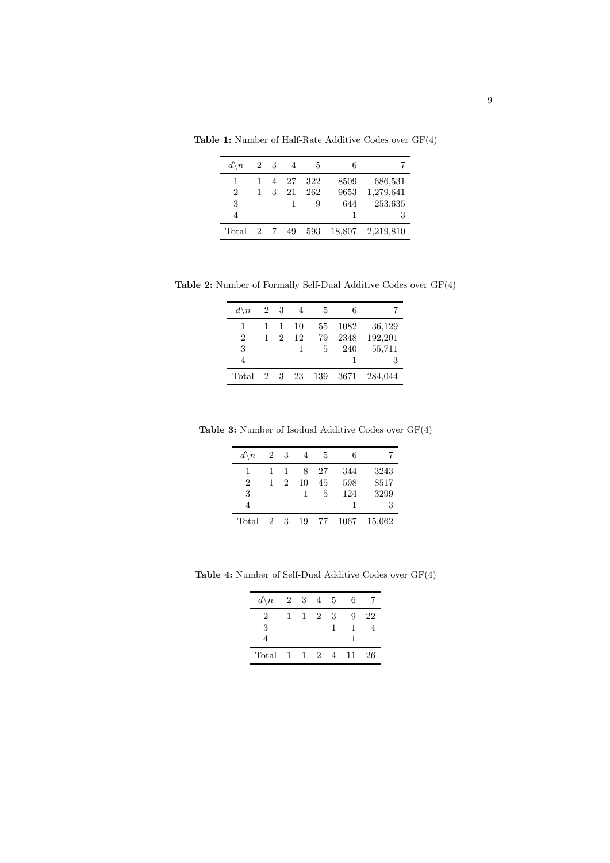| $d \backslash n$ |              | 2 3 | $\overline{4}$ | -5  | 6      |           |
|------------------|--------------|-----|----------------|-----|--------|-----------|
| 1                |              |     | 4 27           | 322 | 8509   | 686,531   |
| 2                | $\mathbf{1}$ | 3   | 21             | 262 | 9653   | 1,279,641 |
| 3                |              |     |                | 9   | 644    | 253,635   |
| 4                |              |     |                |     |        | 3         |
| Total            | 2 7          |     | 49             | 593 | 18,807 | 2,219,810 |

Table 1: Number of Half-Rate Additive Codes over GF(4)

Table 2: Number of Formally Self-Dual Additive Codes over GF(4)

<span id="page-8-0"></span>

| $d \backslash n$ | 2 3 |                             | -4 | -5  | 6    |         |
|------------------|-----|-----------------------------|----|-----|------|---------|
| 1                | 1   | 1                           | 10 | 55  | 1082 | 36,129  |
| $\overline{2}$   | 1   | $\mathcal{D}_{\mathcal{L}}$ | 12 | 79  | 2348 | 192,201 |
| 3                |     |                             | 1  | 5   | 240  | 55,711  |
|                  |     |                             |    |     |      | 3       |
| Total            | 2 3 |                             | 23 | 139 | 3671 | 284,044 |

Table 3: Number of Isodual Additive Codes over GF(4)

| $d \backslash n$ | 2 3         |   | $\overline{4}$ | 5  | 6    |        |
|------------------|-------------|---|----------------|----|------|--------|
| 1                | 1           | 1 | 8              | 27 | 344  | 3243   |
| $\overline{2}$   | 1           | 2 | 10             | 45 | 598  | 8517   |
| 3                |             |   | 1              | 5  | 124  | 3299   |
| $\overline{4}$   |             |   |                |    | 1    | 3      |
| Total            | $2^{\circ}$ | 3 | 19             | 77 | 1067 | 15,062 |

Table 4: Number of Self-Dual Additive Codes over GF(4)

<span id="page-8-1"></span>

| $d \backslash n$ |  | 2 3 4 5 |            | 6            |    |
|------------------|--|---------|------------|--------------|----|
| 2                |  | 1 2 3   |            | 9            | 22 |
| 3                |  |         | 1          | $\mathbf{1}$ |    |
| 4                |  |         |            |              |    |
| Total            |  |         | 1 1 2 4 11 |              | 26 |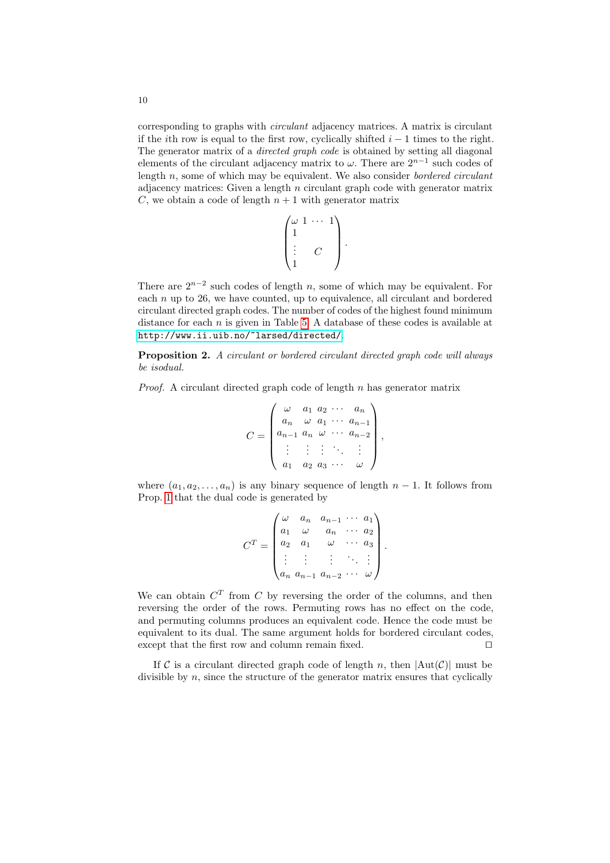corresponding to graphs with circulant adjacency matrices. A matrix is circulant if the *i*th row is equal to the first row, cyclically shifted  $i - 1$  times to the right. The generator matrix of a *directed graph code* is obtained by setting all diagonal elements of the circulant adjacency matrix to  $\omega$ . There are  $2^{n-1}$  such codes of length  $n$ , some of which may be equivalent. We also consider *bordered circulant* adjacency matrices: Given a length  $n$  circulant graph code with generator matrix C, we obtain a code of length  $n + 1$  with generator matrix

$$
\begin{pmatrix} \omega & 1 & \cdots & 1 \\ 1 & & & \\ \vdots & & C & \\ 1 & & & \end{pmatrix}.
$$

There are  $2^{n-2}$  such codes of length n, some of which may be equivalent. For each  $n$  up to 26, we have counted, up to equivalence, all circulant and bordered circulant directed graph codes. The number of codes of the highest found minimum distance for each  $n$  is given in Table 5. A database of these codes is available at http://www.ii.uib.no/~larsed/directed/.

Proposition 2. A circulant or bordered circulant directed graph code will always be isodual.

*Proof.* A circulant directed graph code of length  $n$  has generator matrix

$$
C = \begin{pmatrix} \omega & a_1 & a_2 & \cdots & a_n \\ a_n & \omega & a_1 & \cdots & a_{n-1} \\ a_{n-1} & a_n & \omega & \cdots & a_{n-2} \\ \vdots & \vdots & \vdots & \ddots & \vdots \\ a_1 & a_2 & a_3 & \cdots & \omega \end{pmatrix},
$$

where  $(a_1, a_2, \ldots, a_n)$  is any binary sequence of length  $n-1$ . It follows from Prop. 1 that the dual code is generated by

$$
CT = \begin{pmatrix} \omega & a_n & a_{n-1} & \cdots & a_1 \\ a_1 & \omega & a_n & \cdots & a_2 \\ a_2 & a_1 & \omega & \cdots & a_3 \\ \vdots & \vdots & \vdots & \ddots & \vdots \\ a_n & a_{n-1} & a_{n-2} & \cdots & \omega \end{pmatrix}.
$$

We can obtain  $C<sup>T</sup>$  from C by reversing the order of the columns, and then reversing the order of the rows. Permuting rows has no effect on the code, and permuting columns produces an equivalent code. Hence the code must be equivalent to its dual. The same argument holds for bordered circulant codes, except that the first row and column remain fixed.  $\Box$ 

If C is a circulant directed graph code of length n, then  $|\text{Aut}(\mathcal{C})|$  must be divisible by n, since the structure of the generator matrix ensures that cyclically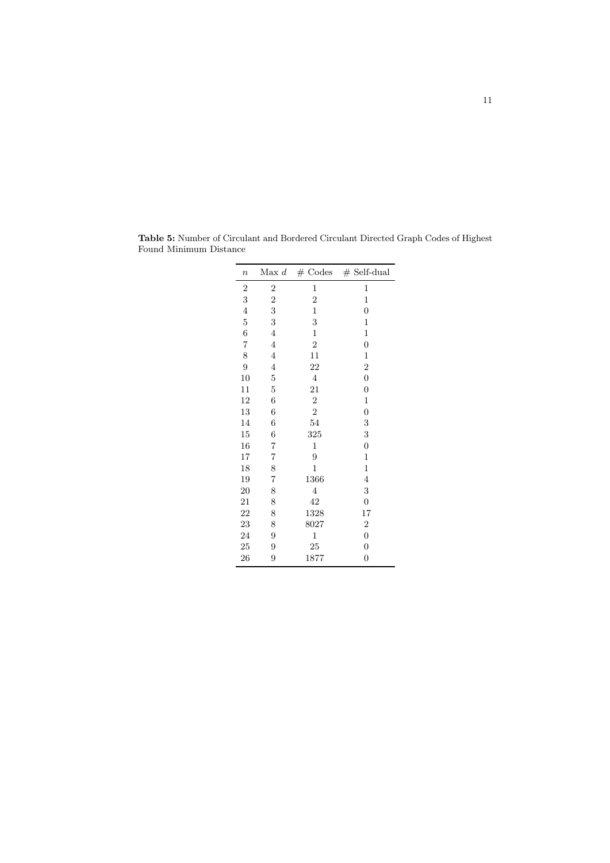| $\boldsymbol{n}$ | Max d          | $#$ Codes      | $#$ Self-dual    |
|------------------|----------------|----------------|------------------|
| $\overline{c}$   | $\overline{c}$ | 1              | $\mathbf 1$      |
| 3                | $\overline{c}$ | $\overline{2}$ | 1                |
| $\overline{4}$   | 3              | 1              | 0                |
| $\overline{5}$   | 3              | 3              | 1                |
| $\boldsymbol{6}$ | 4              | $\mathbf 1$    | $\,1$            |
| $\overline{7}$   | $\overline{4}$ | $\sqrt{2}$     | $\boldsymbol{0}$ |
| 8                | $\overline{4}$ | 11             | $\,1$            |
| $\overline{9}$   | $\overline{4}$ | 22             | $\overline{2}$   |
| 10               | $\overline{5}$ | $\overline{4}$ | $\overline{0}$   |
| 11               | 5              | 21             | 0                |
| 12               | 6              | $\overline{2}$ | $\,1$            |
| 13               | 6              | $\overline{2}$ | $\boldsymbol{0}$ |
| 14               | 6              | 54             | 3                |
| 15               | 6              | 325            | 3                |
| 16               | $\overline{7}$ | 1              | 0                |
| 17               | $\overline{7}$ | 9              | $\mathbf{1}$     |
| 18               | 8              | $\mathbf 1$    | $\,1$            |
| 19               | $\overline{7}$ | 1366           | $\overline{4}$   |
| <b>20</b>        | 8              | 4              | 3                |
| 21               | 8              | 42             | $\boldsymbol{0}$ |
| 22               | 8              | 1328           | 17               |
| 23               | 8              | 8027           | $\boldsymbol{2}$ |
| 24               | 9              | $\mathbf 1$    | $\overline{0}$   |
| 25               | 9              | 25             | $\overline{0}$   |
| 26               | 9              | 1877           | 0                |

Table 5: Number of Circulant and Bordered Circulant Directed Graph Codes of Highest Found Minimum Distance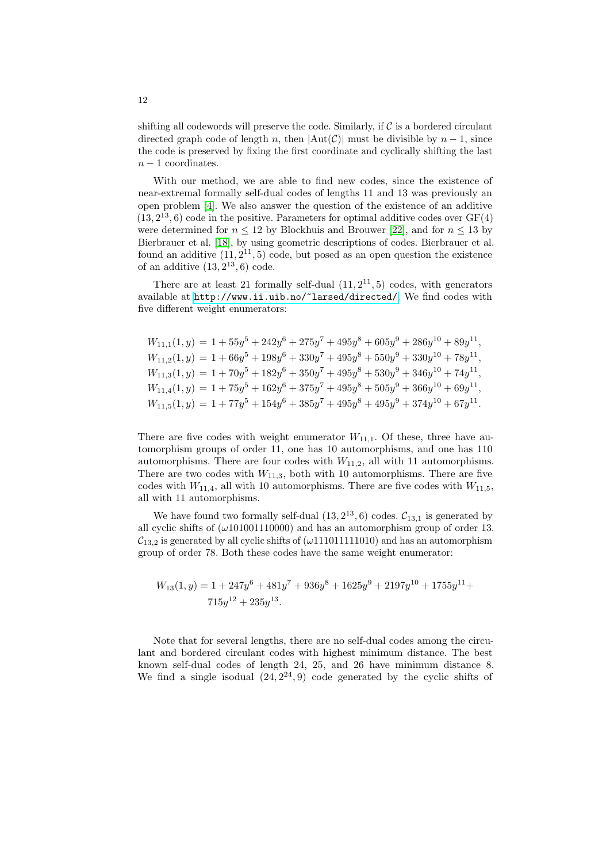shifting all codewords will preserve the code. Similarly, if  $\mathcal C$  is a bordered circulant directed graph code of length n, then  $|\text{Aut}(\mathcal{C})|$  must be divisible by  $n-1$ , since the code is preserved by fixing the first coordinate and cyclically shifting the last  $n-1$  coordinates.

With our method, we are able to find new codes, since the existence of near-extremal formally self-dual codes of lengths 11 and 13 was previously an open problem [4]. We also answer the question of the existence of an additive  $(13, 2^{13}, 6)$  code in the positive. Parameters for optimal additive codes over  $GF(4)$ [were determined for](http://www.ii.uib.no/~larsed/directed/)  $n \leq 12$  by Blockhuis and Brouwer [22], and for  $n \leq 13$  by Bierbrauer et al. [18], by using geometric descriptions of codes. Bierbrauer et al. found an additive  $(11, 2^{11}, 5)$  code, but posed as an open question the existence of an additive  $(13, 2^{13}, 6)$  code.

There are at least 21 formally self-dual  $(11, 2^{11}, 5)$  codes, with generators available at http://www.ii.uib.no/~larsed/directed/. We find codes with five different weight enumerators:

$$
W_{11,1}(1,y) = 1 + 55y^5 + 242y^6 + 275y^7 + 495y^8 + 605y^9 + 286y^{10} + 89y^{11},
$$
  
\n
$$
W_{11,2}(1,y) = 1 + 66y^5 + 198y^6 + 330y^7 + 495y^8 + 550y^9 + 330y^{10} + 78y^{11},
$$
  
\n
$$
W_{11,3}(1,y) = 1 + 70y^5 + 182y^6 + 350y^7 + 495y^8 + 530y^9 + 346y^{10} + 74y^{11},
$$
  
\n
$$
W_{11,4}(1,y) = 1 + 75y^5 + 162y^6 + 375y^7 + 495y^8 + 505y^9 + 366y^{10} + 69y^{11},
$$
  
\n
$$
W_{11,5}(1,y) = 1 + 77y^5 + 154y^6 + 385y^7 + 495y^8 + 495y^9 + 374y^{10} + 67y^{11}.
$$

There are five codes with weight enumerator  $W_{11,1}$ . Of these, three have automorphism groups of order 11, one has 10 automorphisms, and one has 110 automorphisms. There are four codes with  $W_{11,2}$ , all with 11 automorphisms. There are two codes with  $W_{11,3}$ , both with 10 automorphisms. There are five codes with  $W_{11,4}$ , all with 10 automorphisms. There are five codes with  $W_{11,5}$ , all with 11 automorphisms.

We have found two formally self-dual  $(13, 2^{13}, 6)$  codes.  $\mathcal{C}_{13,1}$  is generated by all cyclic shifts of  $(\omega 101001110000)$  and has an automorphism group of order 13.  $\mathcal{C}_{13,2}$  is generated by all cyclic shifts of  $(\omega 111011111010)$  and has an automorphism group of order 78. Both these codes have the same weight enumerator:

$$
W_{13}(1,y) = 1 + 247y^{6} + 481y^{7} + 936y^{8} + 1625y^{9} + 2197y^{10} + 1755y^{11} + 715y^{12} + 235y^{13}.
$$

Note that for several lengths, there are no self-dual codes among the circulant and bordered circulant codes with highest minimum distance. The best known self-dual codes of length 24, 25, and 26 have minimum distance 8. We find a single isodual  $(24, 2^{24}, 9)$  code generated by the cyclic shifts of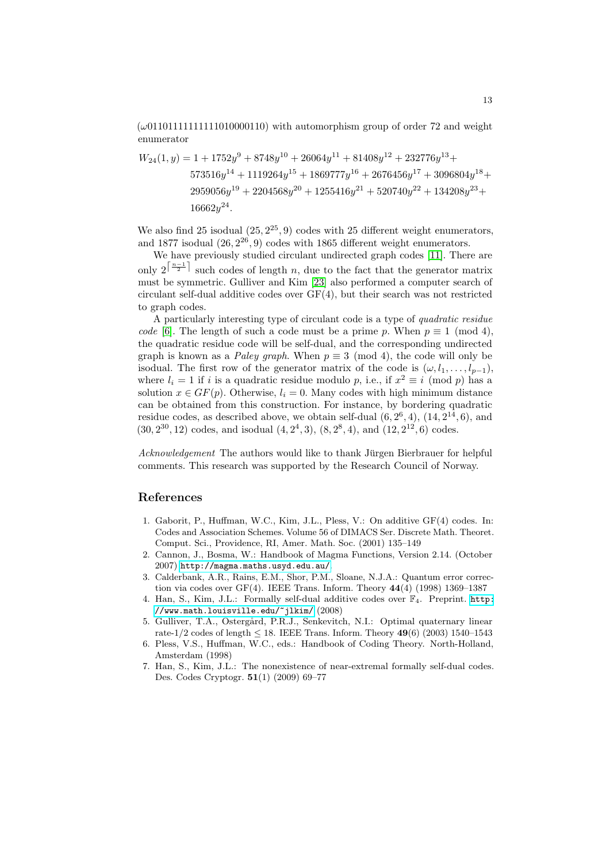$(\omega 01101111111111010000110)$  with automorphism group of order 72 and weight enumerator

$$
W_{24}(1,y) = 1 + 1752y^9 + 8748y^{10} + 26064y^{11} + 81408y^{12} + 232776y^{13} + 573516y^{14} + 1119264y^{15} + 1869777y^{16} + 2676456y^{17} + 3096804y^{18} + 2959056y^{19} + 2204568y^{20} + 1255416y^{21} + 520740y^{22} + 134208y^{23} + 16662y^{24}.
$$

We also find 25 isodual  $(25, 2^{25}, 9)$  codes with 25 different weight enumerators, and 1877 isodual  $(26, 2^{26}, 9)$  codes with 1865 different weight enumerators.

We have previously studied circulant undirected graph codes [11]. There are only  $2^{\lceil \frac{n-1}{2} \rceil}$  such codes of length n, due to the fact that the generator matrix must be symmetric. Gulliver and Kim [23] also performed a computer search of circulant self-dual additive codes over GF(4), but their search was not restricted to graph codes.

A particularly interesting type of circulant code is a type of quadratic residue code [6]. The length of such a code must be a prime p. When  $p \equiv 1 \pmod{4}$ , the quadratic residue code will be self-dual, and the corresponding undirected graph is known as a *Paley graph*. When  $p \equiv 3 \pmod{4}$ , the code will only be isodual. The first row of the generator matrix of the code is  $(\omega, l_1, \ldots, l_{n-1}),$ where  $l_i = 1$  if i is a quadratic residue modulo p, i.e., if  $x^2 \equiv i \pmod{p}$  has a solution  $x \in GF(p)$ . Otherwise,  $l_i = 0$ . Many codes with high minimum distance can be obtained from this construction. For instance, by bordering quadratic residue codes, as described above, we obtain self-dual  $(6, 2^6, 4)$ ,  $(14, 2^{14}, 6)$ , and  $(30, 2^{30}, 12)$  codes, and isodual  $(4, 2^4, 3), (8, 2^8, 4)$ , and  $(12, 2^{12}, 6)$  codes.

Acknowledgement The authors would like to thank Jürgen Bierbrauer for helpful comments. This research was supported by the Research Council of Norway.

### <span id="page-12-1"></span><span id="page-12-0"></span>[References](http://magma.maths.usyd.edu.au/)

- <span id="page-12-4"></span>1. Gaborit, P., Huffman, W.C., Kim, J.L., Pless, V.: On additive GF(4) codes. In: Codes and Association Schemes. Volume 56 of DIMAC[S Ser. D](http://www.math.louisville.edu/~jlkim/)iscrete Math. Theoret. [Comput. Sci., P](http://www.math.louisville.edu/~jlkim/)rovidence, RI, Amer. Math. Soc. (2001) 135–149
- <span id="page-12-2"></span>2. Cannon, J., Bosma, W.: Handbook of Magma Functions, Version 2.14. (October 2007) http://magma.maths.usyd.edu.au/.
- <span id="page-12-3"></span>3. Calderbank, A.R., Rains, E.M., Shor, P.M., Sloane, N.J.A.: Quantum error correction via codes over  $GF(4)$ . IEEE Trans. Inform. Theory  $44(4)$  (1998) 1369-1387
- 4. Han, S., Kim, J.L.: Formally self-dual additive codes over  $\mathbb{F}_4$ . Preprint. http: //www.math.louisville.edu/~jlkim/ (2008)
- 5. Gulliver, T.A., Östergård, P.R.J., Senkevitch, N.I.: Optimal quaternary linear rate-1/2 codes of length  $\leq$  18. IEEE Trans. Inform. Theory 49(6) (2003) 1540–1543
- 6. Pless, V.S., Huffman, W.C., eds.: Handbook of Coding Theory. North-Holland, Amsterdam (1998)
- 7. Han, S., Kim, J.L.: The nonexistence of near-extremal formally self-dual codes. Des. Codes Cryptogr. 51(1) (2009) 69–77